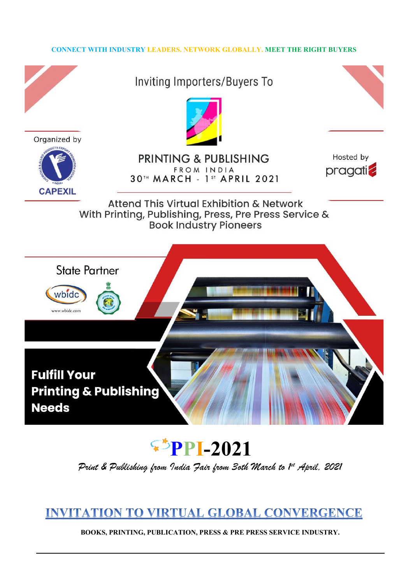#### CONNECT WITH INDUSTRY LEADERS. NETWORK GLOBALLY. MEET THE RIGHT BUYERS



 $\blacktriangleright$ PPI-2021

Print & Publishing from India Fair from Soth March to  $l^{\star}$  April, 2021

## **INVITATION TO VIRTUAL GLOBAL CONVERGENCE**

BOOKS, PRINTING, PUBLICATION, PRESS & PRE PRESS SERVICE INDUSTRY.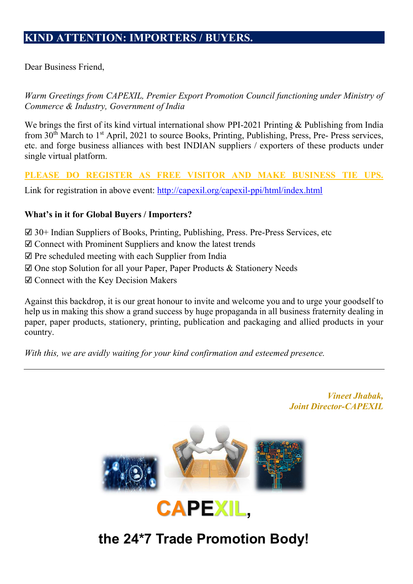Dear Business Friend,

Warm Greetings from CAPEXIL, Premier Export Promotion Council functioning under Ministry of Commerce & Industry, Government of India

We brings the first of its kind virtual international show PPI-2021 Printing & Publishing from India from 30<sup>th</sup> March to 1<sup>st</sup> April, 2021 to source Books, Printing, Publishing, Press, Pre- Press services, etc. and forge business alliances with best INDIAN suppliers / exporters of these products under single virtual platform.

### PLEASE DO REGISTER AS FREE VISITOR AND MAKE BUSINESS TIE UPS.

Link for registration in above event: http://capexil.org/capexil-ppi/html/index.html

#### What's in it for Global Buyers / Importers?

- ☑ 30+ Indian Suppliers of Books, Printing, Publishing, Press. Pre-Press Services, etc
- ☑ Connect with Prominent Suppliers and know the latest trends
- ☑ Pre scheduled meeting with each Supplier from India
- ☑ One stop Solution for all your Paper, Paper Products & Stationery Needs
- ☑ Connect with the Key Decision Makers

Against this backdrop, it is our great honour to invite and welcome you and to urge your goodself to help us in making this show a grand success by huge propaganda in all business fraternity dealing in paper, paper products, stationery, printing, publication and packaging and allied products in your country.

With this, we are avidly waiting for your kind confirmation and esteemed presence.





# the 24\*7 Trade Promotion Body!